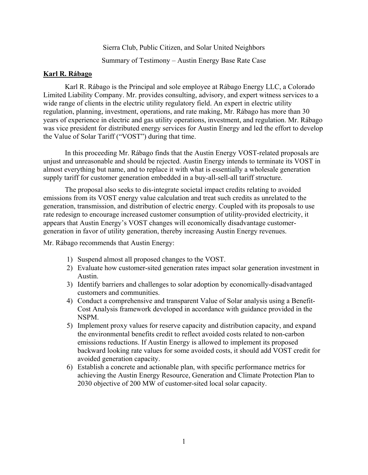Sierra Club, Public Citizen, and Solar United Neighbors Summary of Testimony – Austin Energy Base Rate Case

## **Karl R. Rábago**

Karl R. Rábago is the Principal and sole employee at Rábago Energy LLC, a Colorado Limited Liability Company. Mr. provides consulting, advisory, and expert witness services to a wide range of clients in the electric utility regulatory field. An expert in electric utility regulation, planning, investment, operations, and rate making, Mr. Rábago has more than 30 years of experience in electric and gas utility operations, investment, and regulation. Mr. Rábago was vice president for distributed energy services for Austin Energy and led the effort to develop the Value of Solar Tariff ("VOST") during that time.

In this proceeding Mr. Rábago finds that the Austin Energy VOST-related proposals are unjust and unreasonable and should be rejected. Austin Energy intends to terminate its VOST in almost everything but name, and to replace it with what is essentially a wholesale generation supply tariff for customer generation embedded in a buy-all-sell-all tariff structure.

The proposal also seeks to dis-integrate societal impact credits relating to avoided emissions from its VOST energy value calculation and treat such credits as unrelated to the generation, transmission, and distribution of electric energy. Coupled with its proposals to use rate redesign to encourage increased customer consumption of utility-provided electricity, it appears that Austin Energy's VOST changes will economically disadvantage customergeneration in favor of utility generation, thereby increasing Austin Energy revenues.

Mr. Rábago recommends that Austin Energy:

- 1) Suspend almost all proposed changes to the VOST.
- 2) Evaluate how customer-sited generation rates impact solar generation investment in Austin.
- 3) Identify barriers and challenges to solar adoption by economically-disadvantaged customers and communities.
- 4) Conduct a comprehensive and transparent Value of Solar analysis using a Benefit-Cost Analysis framework developed in accordance with guidance provided in the NSPM.
- 5) Implement proxy values for reserve capacity and distribution capacity, and expand the environmental benefits credit to reflect avoided costs related to non-carbon emissions reductions. If Austin Energy is allowed to implement its proposed backward looking rate values for some avoided costs, it should add VOST credit for avoided generation capacity.
- 6) Establish a concrete and actionable plan, with specific performance metrics for achieving the Austin Energy Resource, Generation and Climate Protection Plan to 2030 objective of 200 MW of customer-sited local solar capacity.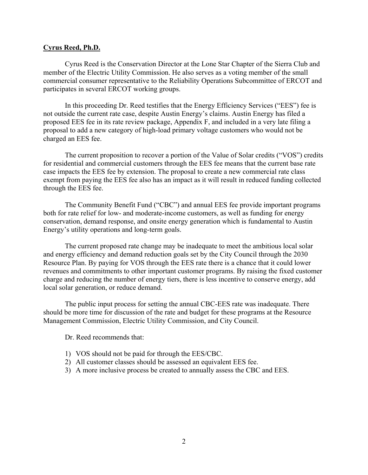## **Cyrus Reed, Ph.D.**

Cyrus Reed is the Conservation Director at the Lone Star Chapter of the Sierra Club and member of the Electric Utility Commission. He also serves as a voting member of the small commercial consumer representative to the Reliability Operations Subcommittee of ERCOT and participates in several ERCOT working groups.

In this proceeding Dr. Reed testifies that the Energy Efficiency Services ("EES") fee is not outside the current rate case, despite Austin Energy's claims. Austin Energy has filed a proposed EES fee in its rate review package, Appendix F, and included in a very late filing a proposal to add a new category of high-load primary voltage customers who would not be charged an EES fee.

The current proposition to recover a portion of the Value of Solar credits ("VOS") credits for residential and commercial customers through the EES fee means that the current base rate case impacts the EES fee by extension. The proposal to create a new commercial rate class exempt from paying the EES fee also has an impact as it will result in reduced funding collected through the EES fee.

The Community Benefit Fund ("CBC") and annual EES fee provide important programs both for rate relief for low- and moderate-income customers, as well as funding for energy conservation, demand response, and onsite energy generation which is fundamental to Austin Energy's utility operations and long-term goals.

The current proposed rate change may be inadequate to meet the ambitious local solar and energy efficiency and demand reduction goals set by the City Council through the 2030 Resource Plan. By paying for VOS through the EES rate there is a chance that it could lower revenues and commitments to other important customer programs. By raising the fixed customer charge and reducing the number of energy tiers, there is less incentive to conserve energy, add local solar generation, or reduce demand.

The public input process for setting the annual CBC-EES rate was inadequate. There should be more time for discussion of the rate and budget for these programs at the Resource Management Commission, Electric Utility Commission, and City Council.

Dr. Reed recommends that:

- 1) VOS should not be paid for through the EES/CBC.
- 2) All customer classes should be assessed an equivalent EES fee.
- 3) A more inclusive process be created to annually assess the CBC and EES.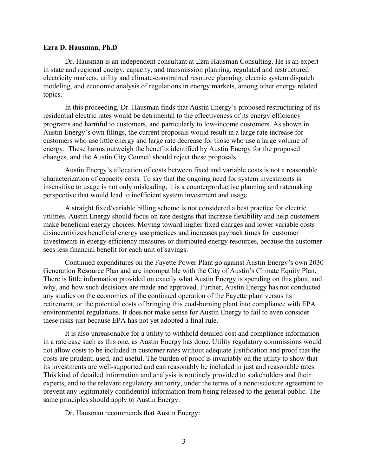## **Ezra D. Hausman, Ph.D**

Dr. Hausman is an independent consultant at Ezra Hausman Consulting. He is an expert in state and regional energy, capacity, and transmission planning, regulated and restructured electricity markets, utility and climate-constrained resource planning, electric system dispatch modeling, and economic analysis of regulations in energy markets, among other energy related topics.

In this proceeding, Dr. Hausman finds that Austin Energy's proposed restructuring of its residential electric rates would be detrimental to the effectiveness of its energy efficiency programs and harmful to customers, and particularly to low-income customers. As shown in Austin Energy's own filings, the current proposals would result in a large rate increase for customers who use little energy and large rate decrease for those who use a large volume of energy. These harms outweigh the benefits identified by Austin Energy for the proposed changes, and the Austin City Council should reject these proposals.

 Austin Energy's allocation of costs between fixed and variable costs is not a reasonable characterization of capacity costs. To say that the ongoing need for system investments is insensitive to usage is not only misleading, it is a counterproductive planning and ratemaking perspective that would lead to inefficient system investment and usage.

 A straight fixed/variable billing scheme is not considered a best practice for electric utilities. Austin Energy should focus on rate designs that increase flexibility and help customers make beneficial energy choices. Moving toward higher fixed charges and lower variable costs disincentivizes beneficial energy use practices and increases payback times for customer investments in energy efficiency measures or distributed energy resources, because the customer sees less financial benefit for each unit of savings.

Continued expenditures on the Fayette Power Plant go against Austin Energy's own 2030 Generation Resource Plan and are incompatible with the City of Austin's Climate Equity Plan. There is little information provided on exactly what Austin Energy is spending on this plant, and why, and how such decisions are made and approved. Further, Austin Energy has not conducted any studies on the economics of the continued operation of the Fayette plant versus its retirement, or the potential costs of bringing this coal-burning plant into compliance with EPA environmental regulations. It does not make sense for Austin Energy to fail to even consider these risks just because EPA has not yet adopted a final rule.

 It is also unreasonable for a utility to withhold detailed cost and compliance information in a rate case such as this one, as Austin Energy has done. Utility regulatory commissions would not allow costs to be included in customer rates without adequate justification and proof that the costs are prudent, used, and useful. The burden of proof is invariably on the utility to show that its investments are well-supported and can reasonably be included in just and reasonable rates. This kind of detailed information and analysis is routinely provided to stakeholders and their experts, and to the relevant regulatory authority, under the terms of a nondisclosure agreement to prevent any legitimately confidential information from being released to the general public. The same principles should apply to Austin Energy.

Dr. Hausman recommends that Austin Energy: